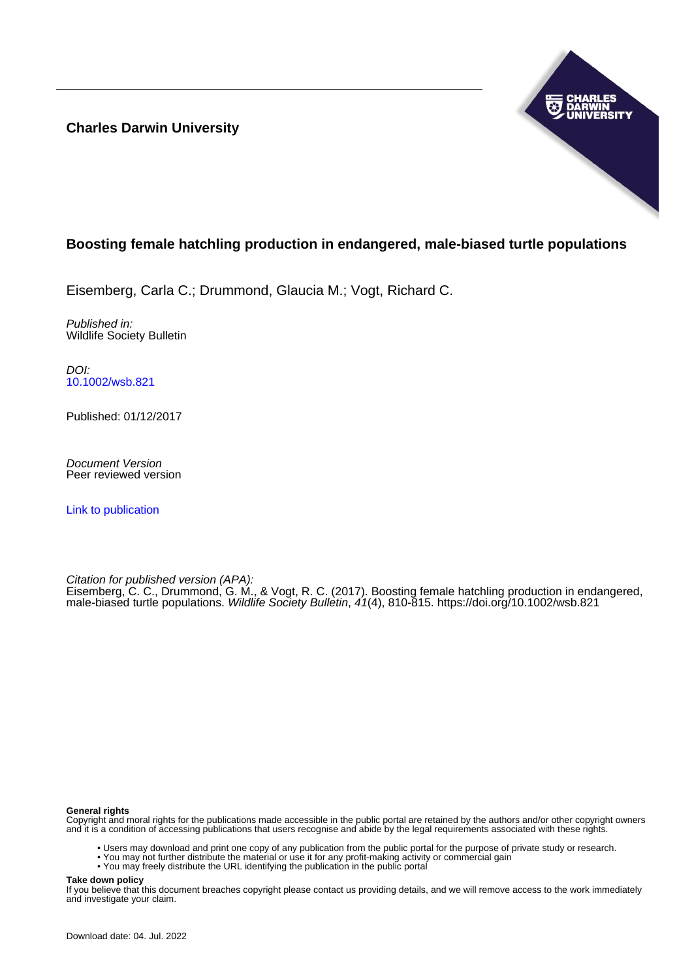**Charles Darwin University**



# **Boosting female hatchling production in endangered, male-biased turtle populations**

Eisemberg, Carla C.; Drummond, Glaucia M.; Vogt, Richard C.

Published in: Wildlife Society Bulletin

DOI: [10.1002/wsb.821](https://doi.org/10.1002/wsb.821)

Published: 01/12/2017

Document Version Peer reviewed version

[Link to publication](https://researchers.cdu.edu.au/en/publications/ac47d6f2-7b0f-4e3f-b235-496fefd15402)

Citation for published version (APA):

Eisemberg, C. C., Drummond, G. M., & Vogt, R. C. (2017). Boosting female hatchling production in endangered, male-biased turtle populations. Wildlife Society Bulletin, 41(4), 810-815.<https://doi.org/10.1002/wsb.821>

#### **General rights**

Copyright and moral rights for the publications made accessible in the public portal are retained by the authors and/or other copyright owners and it is a condition of accessing publications that users recognise and abide by the legal requirements associated with these rights.

- Users may download and print one copy of any publication from the public portal for the purpose of private study or research.
- You may not further distribute the material or use it for any profit-making activity or commercial gain
- You may freely distribute the URL identifying the publication in the public portal

**Take down policy**

If you believe that this document breaches copyright please contact us providing details, and we will remove access to the work immediately and investigate your claim.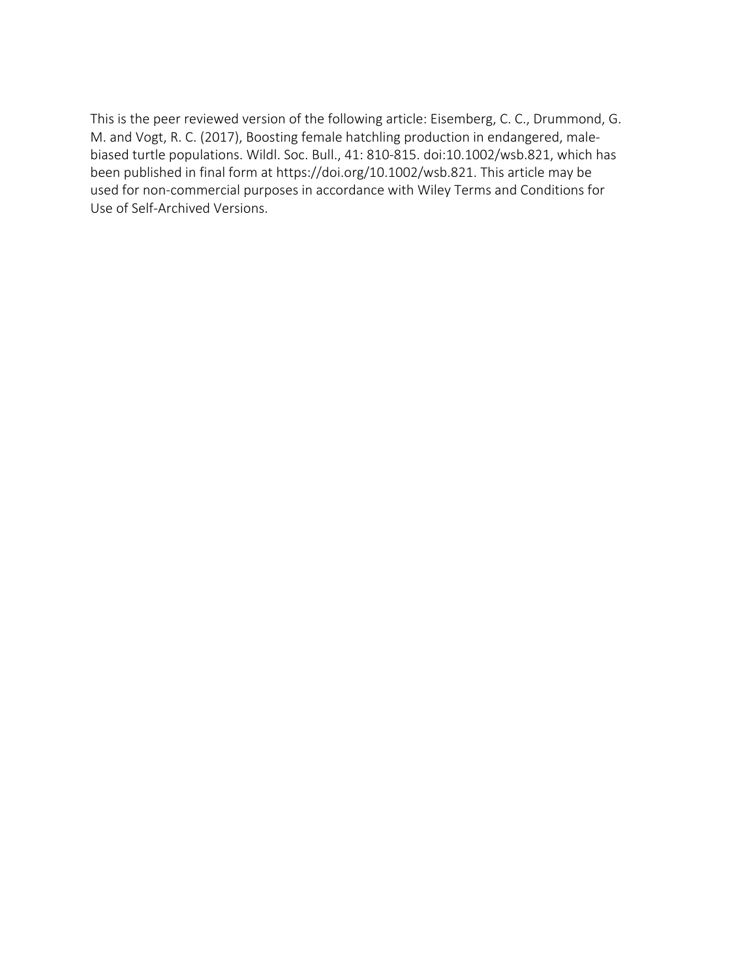This is the peer reviewed version of the following article: Eisemberg, C. C., Drummond, G. M. and Vogt, R. C. (2017), Boosting female hatchling production in endangered, malebiased turtle populations. Wildl. Soc. Bull., 41: 810-815. doi:10.1002/wsb.821, which has been published in final form at https://doi.org/10.1002/wsb.821. This article may be used for non-commercial purposes in accordance with Wiley Terms and Conditions for Use of Self-Archived Versions.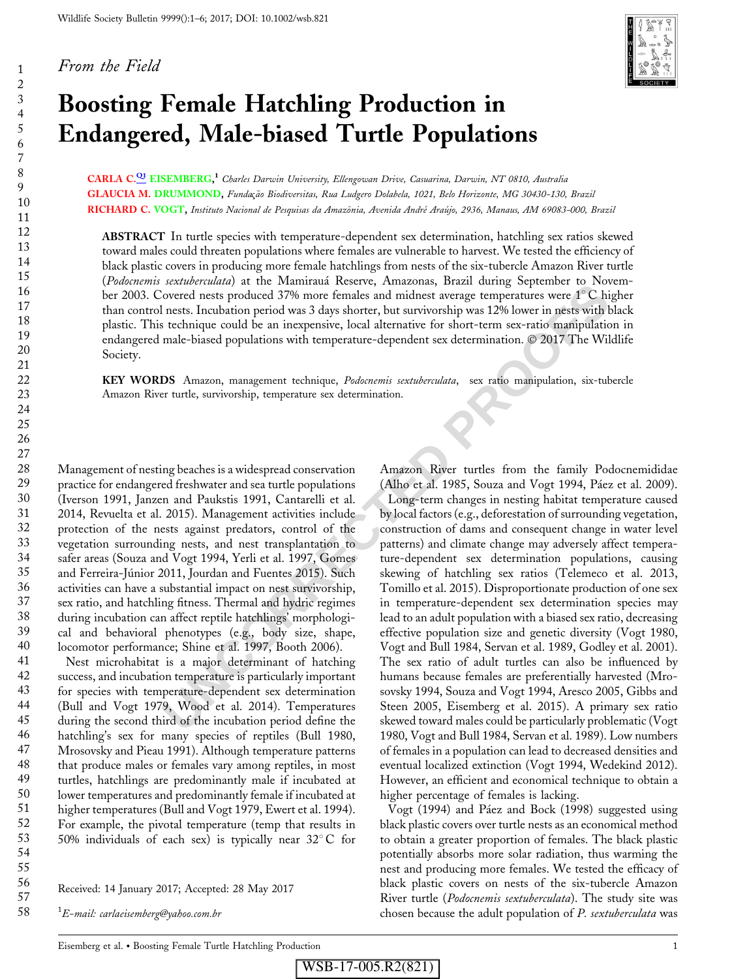#### From the Field

123456789

 $\mathbf{1}$  $\overline{2}$ 3  $\overline{4}$  $\sqrt{5}$ 6  $\overline{7}$ 8 9



# Boosting Female Hatchling Production in Endangered, Male-biased Turtle Populations

CARLA C.<sup>[Q1](#page--1-0)</sup> EISEMBERG,<sup>1</sup> Charles Darwin University, Ellengowan Drive, Casuarina, Darwin, NT 0810, Australia GLAUCIA M. DRUMMOND, Fundação Biodiversitas, Rua Ludgero Dolabela, 1021, Belo Horizonte, MG 30430-130, Brazil RICHARD C. VOGT, Instituto Nacional de Pesquisas da Amazônia, Avenida André Araújo, 2936, Manaus, AM 69083-000, Brazil

ABSTRACT In turtle species with temperature-dependent sex determination, hatchling sex ratios skewed toward males could threaten populations where females are vulnerable to harvest. We tested the efficiency of black plastic covers in producing more female hatchlings from nests of the six-tubercle Amazon River turtle (Podocnemis sextuberculata) at the Mamirauá Reserve, Amazonas, Brazil during September to November 2003. Covered nests produced 37% more females and midnest average temperatures were 1°C higher than control nests. Incubation period was 3 days shorter, but survivorship was 12% lower in nests with black plastic. This technique could be an inexpensive, local alternative for short-term sex-ratio manipulation in endangered male-biased populations with temperature-dependent sex determination. 2017 The Wildlife Society.

KEY WORDS Amazon, management technique, Podocnemis sextuberculata, sex ratio manipulation, six-tubercle Amazon River turtle, survivorship, temperature sex determination.

Management of nesting beaches is a widespread conservation practice for endangered freshwater and sea turtle populations (Iverson 1991, Janzen and Paukstis 1991, Cantarelli et al. 2014, Revuelta et al. 2015). Management activities include protection of the nests against predators, control of the vegetation surrounding nests, and nest transplantation to safer areas (Souza and Vogt 1994, Yerli et al. 1997, Gomes and Ferreira-Júnior 2011, Jourdan and Fuentes 2015). Such activities can have a substantial impact on nest survivorship, sex ratio, and hatchling fitness. Thermal and hydric regimes during incubation can affect reptile hatchlings' morphological and behavioral phenotypes (e.g., body size, shape, locomotor performance; Shine et al. 1997, Booth 2006). 28 29 30 31 32 33 34 35 36 37 38 39 40

Nest microhabitat is a major determinant of hatching success, and incubation temperature is particularly important for species with temperature-dependent sex determination (Bull and Vogt 1979, Wood et al. 2014). Temperatures during the second third of the incubation period define the hatchling's sex for many species of reptiles (Bull 1980, Mrosovsky and Pieau 1991). Although temperature patterns that produce males or females vary among reptiles, in most turtles, hatchlings are predominantly male if incubated at lower temperatures and predominantly female if incubated at higher temperatures (Bull and Vogt 1979, Ewert et al. 1994). For example, the pivotal temperature (temp that results in 50% individuals of each sex) is typically near 32 $^{\circ}$ C for 41 42 43 44 45 46 47 48 49 50 51 52 53 54

56 57 Received: 14 January 2017; Accepted: 28 May 2017

58  $^1E\!\!-\!$ mail: carlaeisemberg@yahoo.com.br Amazon River turtles from the family Podocnemididae (Alho et al. 1985, Souza and Vogt 1994, Páez et al. 2009).

*Increase transit at the Valumiana Kesetve, Canazons*, Bazzi duary developement to loved<br>increasing a time transition period of the incurrent state included 37% more females and midnest average temperatures were 1<sup>®</sup>C bigh Long-term changes in nesting habitat temperature caused by local factors (e.g., deforestation of surrounding vegetation, construction of dams and consequent change in water level patterns) and climate change may adversely affect temperature-dependent sex determination populations, causing skewing of hatchling sex ratios (Telemeco et al. 2013, Tomillo et al. 2015). Disproportionate production of one sex in temperature-dependent sex determination species may lead to an adult population with a biased sex ratio, decreasing effective population size and genetic diversity (Vogt 1980, Vogt and Bull 1984, Servan et al. 1989, Godley et al. 2001). The sex ratio of adult turtles can also be influenced by humans because females are preferentially harvested (Mrosovsky 1994, Souza and Vogt 1994, Aresco 2005, Gibbs and Steen 2005, Eisemberg et al. 2015). A primary sex ratio skewed toward males could be particularly problematic (Vogt 1980, Vogt and Bull 1984, Servan et al. 1989). Low numbers of females in a population can lead to decreased densities and eventual localized extinction (Vogt 1994, Wedekind 2012). However, an efficient and economical technique to obtain a higher percentage of females is lacking.

> Vogt (1994) and Páez and Bock (1998) suggested using black plastic covers over turtle nests as an economical method to obtain a greater proportion of females. The black plastic potentially absorbs more solar radiation, thus warming the nest and producing more females. We tested the efficacy of black plastic covers on nests of the six-tubercle Amazon River turtle (Podocnemis sextuberculata). The study site was chosen because the adult population of P. sextuberculata was

55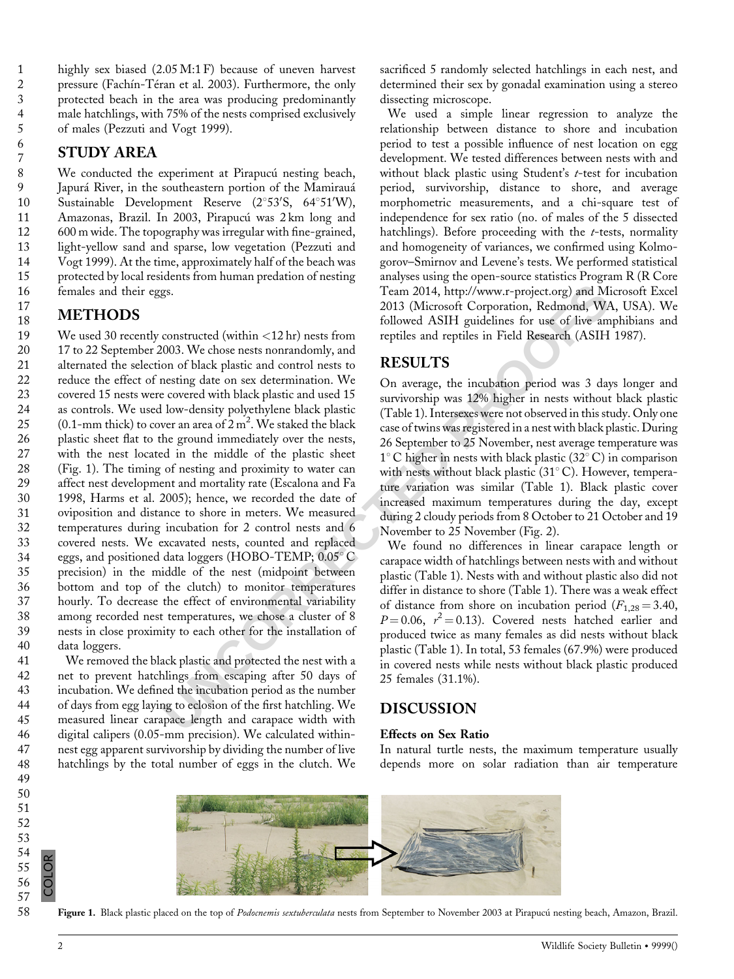18

highly sex biased (2.05 M:1 F) because of uneven harvest pressure (Fachín-Téran et al. 2003). Furthermore, the only protected beach in the area was producing predominantly male hatchlings, with 75% of the nests comprised exclusively of males (Pezzuti and Vogt 1999).

# STUDY AREA

We conducted the experiment at Pirapucú nesting beach, Japurá River, in the southeastern portion of the Mamirauá Sustainable Development Reserve  $(2^{\circ}53^{\prime}S, 64^{\circ}51^{\prime}W),$ Amazonas, Brazil. In 2003, Pirapucú was 2 km long and 600 m wide. The topography was irregular with fine-grained, light-yellow sand and sparse, low vegetation (Pezzuti and Vogt 1999). At the time, approximately half of the beach was protected by local residents from human predation of nesting females and their eggs.

# METHODS

**Exam 2014**, http://www.r-project.org) and Microsoft Corporation Redundom WA, bottom for the solution of Corporation Redundom WA, and not black plastic and control and repulses and repulses in Field Research (A[S](http://www.r-project.org)IH 1) on o We used 30 recently constructed (within  $\langle 12 \text{ hr} \rangle$  nests from 17 to 22 September 2003. We chose nests nonrandomly, and alternated the selection of black plastic and control nests to reduce the effect of nesting date on sex determination. We covered 15 nests were covered with black plastic and used 15 as controls. We used low-density polyethylene black plastic (0.1-mm thick) to cover an area of  $2 \text{ m}^2$ . We staked the black plastic sheet flat to the ground immediately over the nests, with the nest located in the middle of the plastic sheet (Fig. 1). The timing of nesting and proximity to water can affect nest development and mortality rate (Escalona and Fa 1998, Harms et al. 2005); hence, we recorded the date of oviposition and distance to shore in meters. We measured temperatures during incubation for 2 control nests and 6 covered nests. We excavated nests, counted and replaced eggs, and positioned data loggers (HOBO-TEMP;  $0.05^{\circ}$ C) precision) in the middle of the nest (midpoint between bottom and top of the clutch) to monitor temperatures hourly. To decrease the effect of environmental variability among recorded nest temperatures, we chose a cluster of 8 nests in close proximity to each other for the installation of data loggers. 19 20 21 22 23 24 25 26 27 28 29 30 31 32 33 34 35 36 37 38 39 40

We removed the black plastic and protected the nest with a net to prevent hatchlings from escaping after 50 days of incubation. We defined the incubation period as the number of days from egg laying to eclosion of the first hatchling. We measured linear carapace length and carapace width with digital calipers (0.05-mm precision). We calculated withinnest egg apparent survivorship by dividing the number of live hatchlings by the total number of eggs in the clutch. We

sacrificed 5 randomly selected hatchlings in each nest, and determined their sex by gonadal examination using a stereo dissecting microscope.

We used a simple linear regression to analyze the relationship between distance to shore and incubation period to test a possible influence of nest location on egg development. We tested differences between nests with and without black plastic using Student's t-test for incubation period, survivorship, distance to shore, and average morphometric measurements, and a chi-square test of independence for sex ratio (no. of males of the 5 dissected hatchlings). Before proceeding with the  $t$ -tests, normality and homogeneity of variances, we confirmed using Kolmogorov–Smirnov and Levene's tests. We performed statistical analyses using the open-source statistics Program R (R Core Team 2014, http://www.r-project.org) and Microsoft Excel 2013 (Microsoft Corporation, Redmond, WA, USA). We followed ASIH guidelines for use of live amphibians and reptiles and reptiles in Field Research (ASIH 1987).

# RESULTS

On average, the incubation period was 3 days longer and survivorship was 12% higher in nests without black plastic (Table 1). Intersexes were not observed in this study. Only one case of twins was registered in a nest with black plastic. During 26 September to 25 November, nest average temperature was  $1^{\circ}$ C higher in nests with black plastic (32 $^{\circ}$ C) in comparison with nests without black plastic  $(31^{\circ} \text{C})$ . However, temperature variation was similar (Table 1). Black plastic cover increased maximum temperatures during the day, except during 2 cloudy periods from 8 October to 21 October and 19 November to 25 November (Fig. 2).

We found no differences in linear carapace length or carapace width of hatchlings between nests with and without plastic (Table 1). Nests with and without plastic also did not differ in distance to shore (Table 1). There was a weak effect of distance from shore on incubation period  $(F_{1,28} = 3.40,$  $P = 0.06$ ,  $r^2 = 0.13$ ). Covered nests hatched earlier and produced twice as many females as did nests without black plastic (Table 1). In total, 53 females (67.9%) were produced in covered nests while nests without black plastic produced 25 females (31.1%).

## DISCUSSION

#### Effects on Sex Ratio

In natural turtle nests, the maximum temperature usually depends more on solar radiation than air temperature

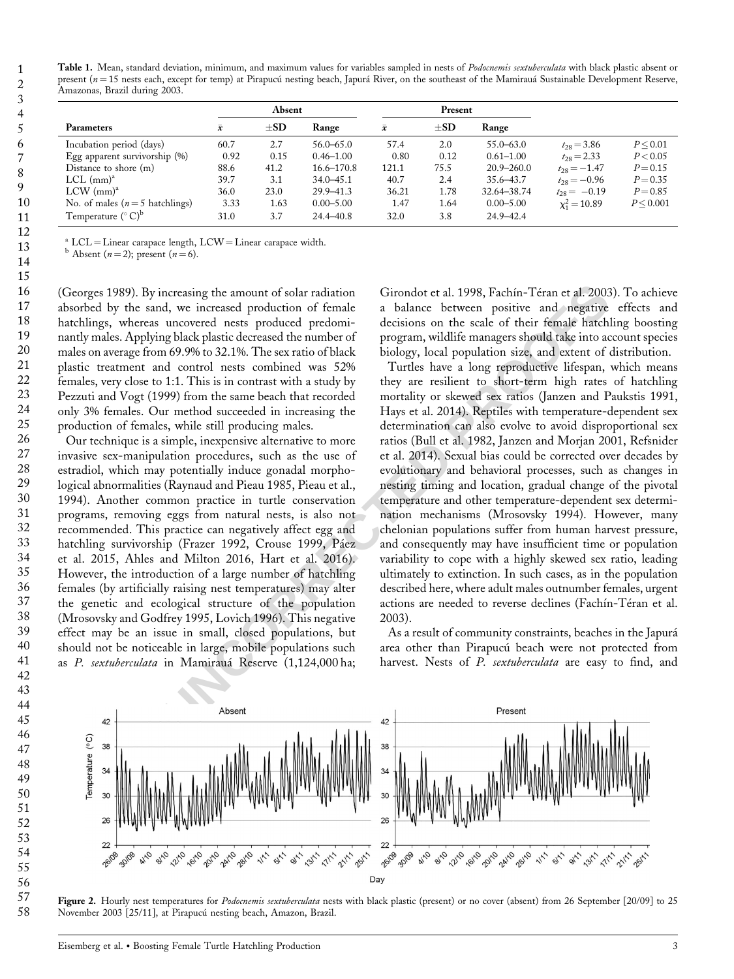Table 1. Mean, standard deviation, minimum, and maximum values for variables sampled in nests of Podocnemis sextuberculata with black plastic absent or present ( $n=15$  nests each, except for temp) at Pirapucú nesting beach, Japurá River, on the southeast of the Mamirauá Sustainable Development Reserve, Amazonas, Brazil during 2003.

| Parameters                       | Absent    |          |                | Present   |          |                |                  |            |
|----------------------------------|-----------|----------|----------------|-----------|----------|----------------|------------------|------------|
|                                  | $\bar{x}$ | $\pm SD$ | Range          | $\bar{x}$ | $\pm SD$ | Range          |                  |            |
| Incubation period (days)         | 60.7      | 2.7      | $56.0 - 65.0$  | 57.4      | 2.0      | $55.0 - 63.0$  | $t_{28} = 3.86$  | P < 0.01   |
| Egg apparent survivorship $(\%)$ | 0.92      | 0.15     | $0.46 - 1.00$  | 0.80      | 0.12     | $0.61 - 1.00$  | $t_{28} = 2.33$  | P < 0.05   |
| Distance to shore $(m)$          | 88.6      | 41.2     | $16.6 - 170.8$ | 121.1     | 75.5     | $20.9 - 260.0$ | $t_{28} = -1.47$ | $P = 0.15$ |
| $LCL$ (mm) <sup>a</sup>          | 39.7      | 3.1      | $34.0 - 45.1$  | 40.7      | 2.4      | $35.6 - 43.7$  | $t_{28} = -0.96$ | $P = 0.35$ |
| $LCW$ (mm) <sup>a</sup>          | 36.0      | 23.0     | $29.9 - 41.3$  | 36.21     | 1.78     | 32.64-38.74    | $t_{28} = -0.19$ | $P = 0.85$ |
| No. of males ( $n=5$ hatchlings) | 3.33      | 1.63     | $0.00 - 5.00$  | 1.47      | 1.64     | $0.00 - 5.00$  | $x_1^2 = 10.89$  | P < 0.001  |
| Temperature $({}^{\circ}C)^{b}$  | 31.0      | 3.7      | $24.4 - 40.8$  | 32.0      | 3.8      | $24.9 - 42.4$  |                  |            |

<sup>a</sup> LCL = Linear carapace length, LCW = Linear carapace width. b Absent ( $n = 2$ ); present ( $n = 6$ ).

(Georges 1989). By increasing the amount of solar radiation absorbed by the sand, we increased production of female hatchlings, whereas uncovered nests produced predominantly males. Applying black plastic decreased the number of males on average from 69.9% to 32.1%. The sex ratio of black plastic treatment and control nests combined was 52% females, very close to 1:1. This is in contrast with a study by Pezzuti and Vogt (1999) from the same beach that recorded only 3% females. Our method succeeded in increasing the production of females, while still producing males. 21 22 23 24 25

Our technique is a simple, inexpensive alternative to more invasive sex-manipulation procedures, such as the use of estradiol, which may potentially induce gonadal morphological abnormalities (Raynaud and Pieau 1985, Pieau et al., 1994). Another common practice in turtle conservation programs, removing eggs from natural nests, is also not recommended. This practice can negatively affect egg and hatchling survivorship (Frazer 1992, Crouse 1999, Páez et al. 2015, Ahles and Milton 2016, Hart et al. 2016). However, the introduction of a large number of hatchling females (by artificially raising nest temperatures) may alter the genetic and ecological structure of the population (Mrosovsky and Godfrey 1995, Lovich 1996). This negative effect may be an issue in small, closed populations, but should not be noticeable in large, mobile populations such as P. sextuberculata in Mamirauá Reserve (1,124,000 ha; 26 27 28 29 30 31 32 33 34 35 36 37 38 39 40 41

Girondot et al. 1998, Fachín-Téran et al. 2003). To achieve a balance between positive and negative effects and decisions on the scale of their female hatchling boosting program, wildlife managers should take into account species biology, local population size, and extent of distribution.

ncreasing the amount of solar radiation Girondot et al. 1998, Fachín-Téran et al. 2003), we increased production of ferande a balance between positive and negative of small and under a balance between positive and extent Turtles have a long reproductive lifespan, which means they are resilient to short-term high rates of hatchling mortality or skewed sex ratios (Janzen and Paukstis 1991, Hays et al. 2014). Reptiles with temperature-dependent sex determination can also evolve to avoid disproportional sex ratios (Bull et al. 1982, Janzen and Morjan 2001, Refsnider et al. 2014). Sexual bias could be corrected over decades by evolutionary and behavioral processes, such as changes in nesting timing and location, gradual change of the pivotal temperature and other temperature-dependent sex determination mechanisms (Mrosovsky 1994). However, many chelonian populations suffer from human harvest pressure, and consequently may have insufficient time or population variability to cope with a highly skewed sex ratio, leading ultimately to extinction. In such cases, as in the population described here, where adult males outnumber females, urgent actions are needed to reverse declines (Fachín-Téran et al. 2003).

As a result of community constraints, beaches in the Japurá area other than Pirapucú beach were not protected from harvest. Nests of P. sextuberculata are easy to find, and



Figure 2. Hourly nest temperatures for *Podocnemis sextuberculata* nests with black plastic (present) or no cover (absent) from 26 September [20/09] to 25 November 2003 [25/11], at Pirapucú nesting beach, Amazon, Brazil.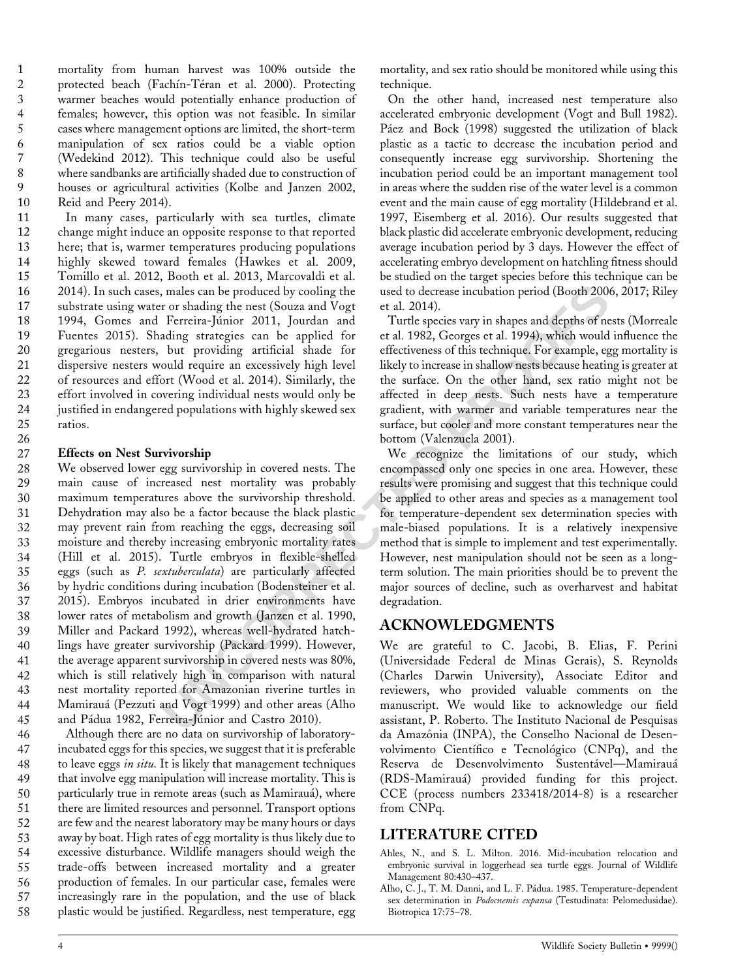mortality from human harvest was 100% outside the protected beach (Fachín-Téran et al. 2000). Protecting warmer beaches would potentially enhance production of females; however, this option was not feasible. In similar cases where management options are limited, the short-term manipulation of sex ratios could be a viable option (Wedekind 2012). This technique could also be useful where sandbanks are artificially shaded due to construction of houses or agricultural activities (Kolbe and Janzen 2002, Reid and Peery 2014). 1 2 3 4 5 6 7 8 9 10

In many cases, particularly with sea turtles, climate change might induce an opposite response to that reported here; that is, warmer temperatures producing populations highly skewed toward females (Hawkes et al. 2009, Tomillo et al. 2012, Booth et al. 2013, Marcovaldi et al. 2014). In such cases, males can be produced by cooling the substrate using water or shading the nest (Souza and Vogt 1994, Gomes and Ferreira-Júnior 2011, Jourdan and Fuentes 2015). Shading strategies can be applied for gregarious nesters, but providing artificial shade for dispersive nesters would require an excessively high level of resources and effort (Wood et al. 2014). Similarly, the effort involved in covering individual nests would only be justified in endangered populations with highly skewed sex ratios. 11 12 13 14 15 16 17 18 19 20 21 22 23 24 25

#### Effects on Nest Survivorship 27

26

males can be produced by cooling the used to decrease incubation period (Booth 2006, r or shading the next (Souza and Vogt et al. 2014). Therefore, shading strategies can be applied for et al. 1992, Georges et al. 1994), We observed lower egg survivorship in covered nests. The main cause of increased nest mortality was probably maximum temperatures above the survivorship threshold. Dehydration may also be a factor because the black plastic may prevent rain from reaching the eggs, decreasing soil moisture and thereby increasing embryonic mortality rates (Hill et al. 2015). Turtle embryos in flexible-shelled eggs (such as P. sextuberculata) are particularly affected by hydric conditions during incubation (Bodensteiner et al. 2015). Embryos incubated in drier environments have lower rates of metabolism and growth (Janzen et al. 1990, Miller and Packard 1992), whereas well-hydrated hatchlings have greater survivorship (Packard 1999). However, the average apparent survivorship in covered nests was 80%, which is still relatively high in comparison with natural nest mortality reported for Amazonian riverine turtles in Mamirauá (Pezzuti and Vogt 1999) and other areas (Alho and Pádua 1982, Ferreira-Júnior and Castro 2010). 28 29 30 31 32 33 34 35 36 37 38 39 40 41 42 43 44 45

Although there are no data on survivorship of laboratoryincubated eggs for this species, we suggest that it is preferable to leave eggs in situ. It is likely that management techniques that involve egg manipulation will increase mortality. This is particularly true in remote areas (such as Mamirauá), where there are limited resources and personnel. Transport options are few and the nearest laboratory may be many hours or days away by boat. High rates of egg mortality is thus likely due to excessive disturbance. Wildlife managers should weigh the trade-offs between increased mortality and a greater production of females. In our particular case, females were increasingly rare in the population, and the use of black plastic would be justified. Regardless, nest temperature, egg 46 47 48 49 50 51 52 53 54 55 56 57 58

mortality, and sex ratio should be monitored while using this technique.

On the other hand, increased nest temperature also accelerated embryonic development (Vogt and Bull 1982). Páez and Bock (1998) suggested the utilization of black plastic as a tactic to decrease the incubation period and consequently increase egg survivorship. Shortening the incubation period could be an important management tool in areas where the sudden rise of the water level is a common event and the main cause of egg mortality (Hildebrand et al. 1997, Eisemberg et al. 2016). Our results suggested that black plastic did accelerate embryonic development, reducing average incubation period by 3 days. However the effect of accelerating embryo development on hatchling fitness should be studied on the target species before this technique can be used to decrease incubation period (Booth 2006, 2017; Riley et al. 2014).

Turtle species vary in shapes and depths of nests (Morreale et al. 1982, Georges et al. 1994), which would influence the effectiveness of this technique. For example, egg mortality is likely to increase in shallow nests because heating is greater at the surface. On the other hand, sex ratio might not be affected in deep nests. Such nests have a temperature gradient, with warmer and variable temperatures near the surface, but cooler and more constant temperatures near the bottom (Valenzuela 2001).

We recognize the limitations of our study, which encompassed only one species in one area. However, these results were promising and suggest that this technique could be applied to other areas and species as a management tool for temperature-dependent sex determination species with male-biased populations. It is a relatively inexpensive method that is simple to implement and test experimentally. However, nest manipulation should not be seen as a longterm solution. The main priorities should be to prevent the major sources of decline, such as overharvest and habitat degradation.

### ACKNOWLEDGMENTS

We are grateful to C. Jacobi, B. Elias, F. Perini (Universidade Federal de Minas Gerais), S. Reynolds (Charles Darwin University), Associate Editor and reviewers, who provided valuable comments on the manuscript. We would like to acknowledge our field assistant, P. Roberto. The Instituto Nacional de Pesquisas da Amazônia (INPA), the Conselho Nacional de Desenvolvimento Científico e Tecnológico (CNPq), and the Reserva de Desenvolvimento Sustentável—Mamirauá (RDS-Mamirauá) provided funding for this project. CCE (process numbers 233418/2014-8) is a researcher from CNPq.

### LITERATURE CITED

- Ahles, N., and S. L. Milton. 2016. Mid-incubation relocation and embryonic survival in loggerhead sea turtle eggs. Journal of Wildlife Management 80:430–437.
- Alho, C. J., T. M. Danni, and L. F. Pádua. 1985. Temperature-dependent sex determination in Podocnemis expansa (Testudinata: Pelomedusidae). Biotropica 17:75–78.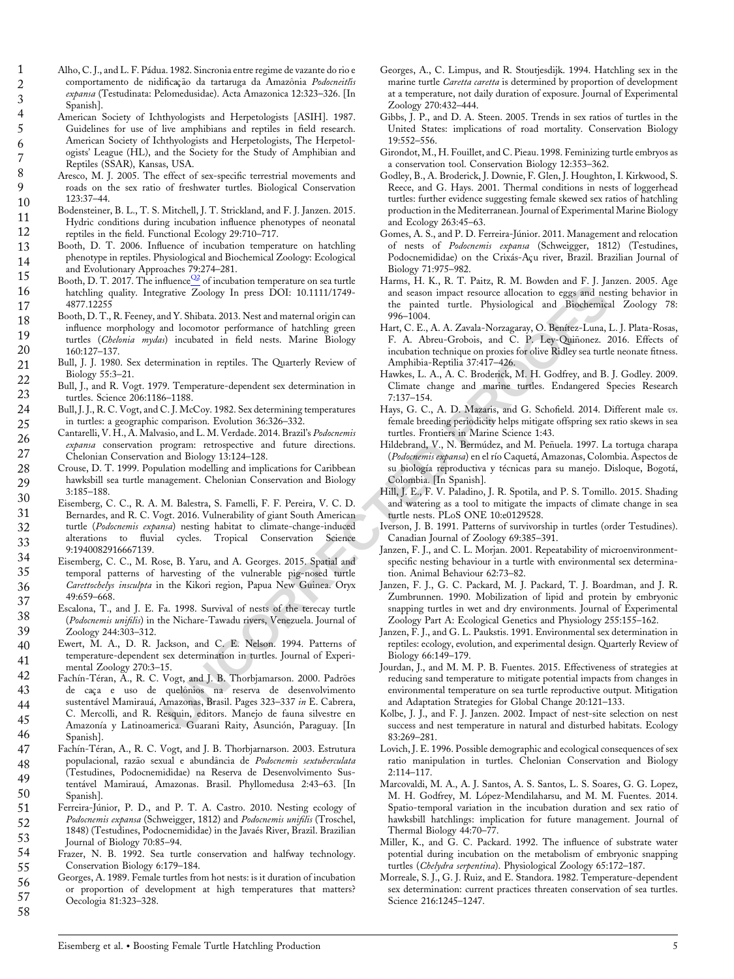Alho, C. J., and L. F. Pádua. 1982. Sincronia entre regime de vazante do rio e comportamento de nidificação da tartaruga da Amazônia Podocneitlís expansa (Testudinata: Pelomedusidae). Acta Amazonica 12:323-326. [In Spanish].

- American Society of Ichthyologists and Herpetologists [ASIH]. 1987. Guidelines for use of live amphibians and reptiles in field research. American Society of Ichthyologists and Herpetologists, The Herpetologists' League (HL), and the Society for the Study of Amphibian and Reptiles (SSAR), Kansas, USA.
- Aresco, M. J. 2005. The effect of sex-specific terrestrial movements and roads on the sex ratio of freshwater turtles. Biological Conservation 123:37–44.
- Bodensteiner, B. L., T. S. Mitchell, J. T. Strickland, and F. J. Janzen. 2015. Hydric conditions during incubation influence phenotypes of neonatal reptiles in the field. Functional Ecology 29:710–717. 10 11 12
- Booth, D. T. 2006. Influence of incubation temperature on hatchling phenotype in reptiles. Physiological and Biochemical Zoology: Ecological and Evolutionary Approaches 79:274–281. 13 14
- Booth, D. T. 2017. The influence $\frac{Q2}{Q}$  of incubation temperature on sea turtle hatchling quality. Integrative Zoology In press DOI: 10.1111/1749- 4877.12255 15 16 17
- Booth, D. T., R. Feeney, and Y. Shibata. 2013. Nest and maternal origin can influence morphology and locomotor performance of hatchling green turtles (Chelonia mydas) incubated in field nests. Marine Biology 160:127–137. 18 19 20
- Bull, J. J. 1980. Sex determination in reptiles. The Quarterly Review of Biology 55:3–21. 21 22
- Bull, J., and R. Vogt. 1979. Temperature-dependent sex determination in turtles. Science 206:1186–1188. 23
- Bull, J. J., R. C. Vogt, and C. J. McCoy. 1982. Sex determining temperatures in turtles: a geographic comparison. Evolution 36:326–332. 24 25
- Cantarelli, V. H., A. Malvasio, and L. M. Verdade. 2014. Brazil's Podocnemis expansa conservation program: retrospective and future directions. Chelonian Conservation and Biology 13:124–128. 26 27
- Crouse, D. T. 1999. Population modelling and implications for Caribbean hawksbill sea turtle management. Chelonian Conservation and Biology 3:185–188. 28 29
- Eisemberg, C. C., R. A. M. Balestra, S. Famelli, F. F. Pereira, V. C. D. Bernardes, and R. C. Vogt. 2016. Vulnerability of giant South American turtle (Podocnemis expansa) nesting habitat to climate-change-induced alterations to fluvial cycles. Tropical Conservation Science 9:1940082916667139. 30 31 32 33
- Eisemberg, C. C., M. Rose, B. Yaru, and A. Georges. 2015. Spatial and temporal patterns of harvesting of the vulnerable pig-nosed turtle Carettochelys insculpta in the Kikori region, Papua New Guinea. Oryx 49:659–668. 34 35 36 37
- Escalona, T., and J. E. Fa. 1998. Survival of nests of the terecay turtle (Podocnemis unifilis) in the Nichare-Tawadu rivers, Venezuela. Journal of Zoology 244:303–312. 38 39
- Ewert, M. A., D. R. Jackson, and C. E. Nelson. 1994. Patterns of temperature-dependent sex determination in turtles. Journal of Experimental Zoology 270:3–15. 40 41
- Fachín-Téran, A., R. C. Vogt, and J. B. Thorbjamarson. 2000. Padrões de caça e uso de quelônios na reserva de desenvolvimento sustentável Mamirauá, Amazonas, Brasil. Pages 323–337 *in* E. Cabrera, C. Mercolli, and R. Resquin, editors. Manejo de fauna silvestre en Amazonía y Latinoamerica. Guarani Raity, Asunción, Paraguay. [In Spanish]. 42 43 44 45 46
- Fachín-Téran, A., R. C. Vogt, and J. B. Thorbjarnarson. 2003. Estrutura populacional, razão sexual e abundância de Podocnemis sextuberculata (Testudines, Podocnemididae) na Reserva de Desenvolvimento Sustentável Mamirauá, Amazonas. Brasil. Phyllomedusa 2:43–63. [In Spanish]. 47 48 49 50
- Ferreira-Júnior, P. D., and P. T. A. Castro. 2010. Nesting ecology of Podocnemis expansa (Schweigger, 1812) and Podocnemis unifilis (Troschel, 1848) (Testudines, Podocnemididae) in the Javaés River, Brazil. Brazilian Journal of Biology 70:85–94. 51 52 53
- Frazer, N. B. 1992. Sea turtle conservation and halfway technology. Conservation Biology 6:179–184. 54 55
- Georges, A. 1989. Female turtles from hot nests: is it duration of incubation or proportion of development at high temperatures that matters? Oecologia 81:323–328. 56 57 58
- Georges, A., C. Limpus, and R. Stoutjesdijk. 1994. Hatchling sex in the marine turtle Caretta caretta is determined by proportion of development at a temperature, not daily duration of exposure. Journal of Experimental Zoology 270:432–444.
- Gibbs, J. P., and D. A. Steen. 2005. Trends in sex ratios of turtles in the United States: implications of road mortality. Conservation Biology 19:552–556.
- Girondot, M., H. Fouillet, and C. Pieau. 1998. Feminizing turtle embryos as a conservation tool. Conservation Biology 12:353–362.
- Godley, B., A. Broderick, J. Downie, F. Glen, J. Houghton, I. Kirkwood, S. Reece, and G. Hays. 2001. Thermal conditions in nests of loggerhead turtles: further evidence suggesting female skewed sex ratios of hatchling production in the Mediterranean. Journal of Experimental Marine Biology and Ecology 263:45–63.
- Gomes, A. S., and P. D. Ferreira-Júnior. 2011. Management and relocation of nests of Podocnemis expansa (Schweigger, 1812) (Testudines, Podocnemididae) on the Crixás-Açu river, Brazil. Brazilian Journal of Biology 71:975–982.
- Harms, H. K., R. T. Paitz, R. M. Bowden and F. J. Janzen. 2005. Age and season impact resource allocation to eggs and nesting behavior in the painted turtle. Physiological and Biochemical Zoology 78: 996–1004.
- numenties<sup>2</sup> can the matrimore in the state of the state of the state of the state of the state of the state of the state of the state of the state of the state of the state of the state of the state of the state of the st Hart, C. E., A. A. Zavala-Norzagaray, O. Benítez-Luna, L. J. Plata-Rosas, F. A. Abreu-Grobois, and C. P. Ley-Quiñonez. 2016. Effects of incubation technique on proxies for olive Ridley sea turtle neonate fitness. Amphibia-Reptilia 37:417–426.
	- Hawkes, L. A., A. C. Broderick, M. H. Godfrey, and B. J. Godley. 2009. Climate change and marine turtles. Endangered Species Research 7:137–154.
	- Hays, G. C., A. D. Mazaris, and G. Schofield. 2014. Different male vs. female breeding periodicity helps mitigate offspring sex ratio skews in sea turtles. Frontiers in Marine Science 1:43.
	- Hildebrand, V., N. Bermúdez, and M. Peñuela. 1997. La tortuga charapa (*Podocnemis expansa*) en el río Caquetá, Amazonas, Colombia. Aspectos de su biología reproductiva y técnicas para su manejo. Disloque, Bogotá, Colombia. [In Spanish].
	- Hill, J. E., F. V. Paladino, J. R. Spotila, and P. S. Tomillo. 2015. Shading and watering as a tool to mitigate the impacts of climate change in sea turtle nests. PLoS ONE 10:e0129528.
	- Iverson, J. B. 1991. Patterns of survivorship in turtles (order Testudines). Canadian Journal of Zoology 69:385–391.
	- Janzen, F. J., and C. L. Morjan. 2001. Repeatability of microenvironmentspecific nesting behaviour in a turtle with environmental sex determination. Animal Behaviour 62:73–82.
	- Janzen, F. J., G. C. Packard, M. J. Packard, T. J. Boardman, and J. R. Zumbrunnen. 1990. Mobilization of lipid and protein by embryonic snapping turtles in wet and dry environments. Journal of Experimental Zoology Part A: Ecological Genetics and Physiology 255:155–162.
	- Janzen, F. J., and G. L. Paukstis. 1991. Environmental sex determination in reptiles: ecology, evolution, and experimental design. Quarterly Review of Biology 66:149–179.
	- Jourdan, J., and M. M. P. B. Fuentes. 2015. Effectiveness of strategies at reducing sand temperature to mitigate potential impacts from changes in environmental temperature on sea turtle reproductive output. Mitigation and Adaptation Strategies for Global Change 20:121–133.
	- Kolbe, J. J., and F. J. Janzen. 2002. Impact of nest-site selection on nest success and nest temperature in natural and disturbed habitats. Ecology 83:269–281.
	- Lovich, J. E. 1996. Possible demographic and ecological consequences of sex ratio manipulation in turtles. Chelonian Conservation and Biology 2:114–117.
	- Marcovaldi, M. A., A. J. Santos, A. S. Santos, L. S. Soares, G. G. Lopez, M. H. Godfrey, M. López-Mendilaharsu, and M. M. Fuentes. 2014. Spatio-temporal variation in the incubation duration and sex ratio of hawksbill hatchlings: implication for future management. Journal of Thermal Biology 44:70–77.
	- Miller, K., and G. C. Packard. 1992. The influence of substrate water potential during incubation on the metabolism of embryonic snapping turtles (Chelydra serpentina). Physiological Zoology 65:172-187.
	- Morreale, S. J., G. J. Ruiz, and E. Standora. 1982. Temperature-dependent sex determination: current practices threaten conservation of sea turtles. Science 216:1245–1247.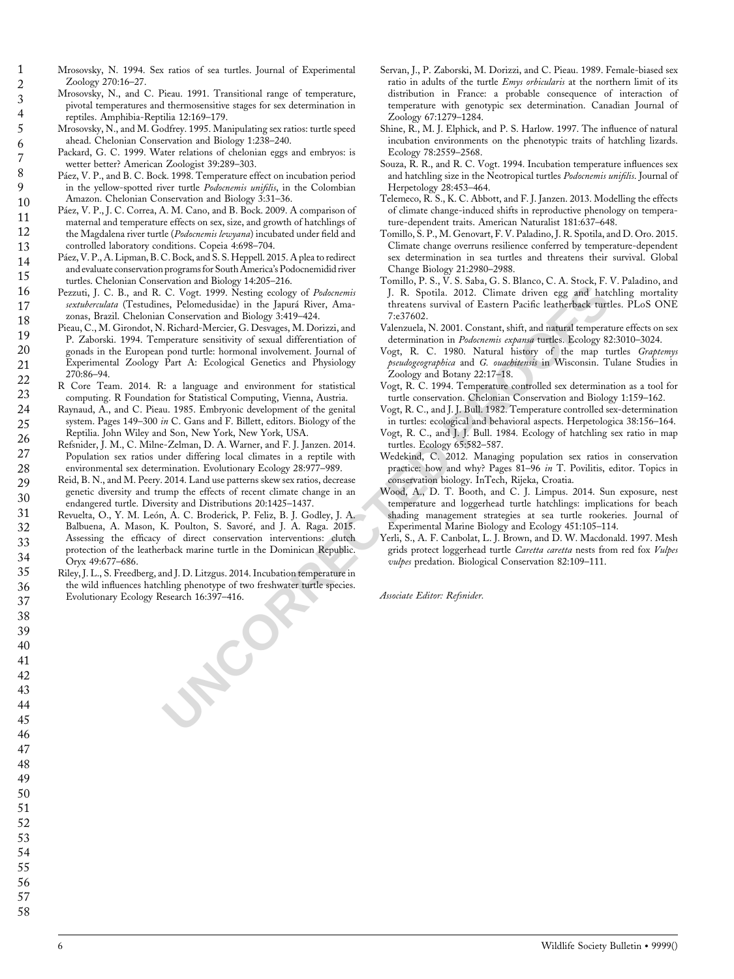Mrosovsky, N. 1994. Sex ratios of sea turtles. Journal of Experimental Zoology 270:16–27.

- Mrosovsky, N., and C. Pieau. 1991. Transitional range of temperature, pivotal temperatures and thermosensitive stages for sex determination in reptiles. Amphibia-Reptilia 12:169–179.
- Mrosovsky, N., and M. Godfrey. 1995. Manipulating sex ratios: turtle speed ahead. Chelonian Conservation and Biology 1:238–240.
- Packard, G. C. 1999. Water relations of chelonian eggs and embryos: is wetter better? American Zoologist 39:289–303.
- Páez, V. P., and B. C. Bock. 1998. Temperature effect on incubation period in the yellow-spotted river turtle *Podocnemis unifilis*, in the Colombian Amazon. Chelonian Conservation and Biology 3:31–36. 10
- Páez, V. P., J. C. Correa, A. M. Cano, and B. Bock. 2009. A comparison of maternal and temperature effects on sex, size, and growth of hatchlings of the Magdalena river turtle (Podocnemis lewyana) incubated under field and controlled laboratory conditions. Copeia 4:698–704. 11 12 13
- Páez, V. P., A. Lipman, B. C. Bock, and S. S. Heppell. 2015. A plea to redirect and evaluate conservation programs for South America's Podocnemidid river turtles. Chelonian Conservation and Biology 14:205–216. 14 15
- Pezzuti, J. C. B., and R. C. Vogt. 1999. Nesting ecology of Podocnemis sextuberculata (Testudines, Pelomedusidae) in the Japurá River, Amazonas, Brazil. Chelonian Conservation and Biology 3:419–424. 16 17 18
- Pieau, C., M. Girondot, N. Richard-Mercier, G. Desvages, M. Dorizzi, and P. Zaborski. 1994. Temperature sensitivity of sexual differentiation of gonads in the European pond turtle: hormonal involvement. Journal of Experimental Zoology Part A: Ecological Genetics and Physiology 270:86–94. 19 20 21
- R Core Team. 2014. R: a language and environment for statistical computing. R Foundation for Statistical Computing, Vienna, Austria. 22 23
- Raynaud, A., and C. Pieau. 1985. Embryonic development of the genital system. Pages 149–300 in C. Gans and F. Billett, editors. Biology of the Reptilia. John Wiley and Son, New York, New York, USA. 24 25
- Refsnider, J. M., C. Milne-Zelman, D. A. Warner, and F. J. Janzen. 2014. Population sex ratios under differing local climates in a reptile with environmental sex determination. Evolutionary Ecology 28:977–989. 26 27 28
- Reid, B. N., and M. Peery. 2014. Land use patterns skew sex ratios, decrease genetic diversity and trump the effects of recent climate change in an endangered turtle. Diversity and Distributions 20:1425–1437. 29 30
- From training controls to the control of the control of the control of the control of the control of the control of the control of the control of the control of the control of the control of the control of the control of t Revuelta, O., Y. M. León, A. C. Broderick, P. Feliz, B. J. Godley, J. A. Balbuena, A. Mason, K. Poulton, S. Savoré, and J. A. Raga. 2015. Assessing the efficacy of direct conservation interventions: clutch protection of the leatherback marine turtle in the Dominican Republic. Oryx 49:677–686. 31 32 33 34
- Riley, J. L., S. Freedberg, and J. D. Litzgus. 2014. Incubation temperature in the wild influences hatchling phenotype of two freshwater turtle species. Evolutionary Ecology Research 16:397–416. 35 36 37
- Servan, J., P. Zaborski, M. Dorizzi, and C. Pieau. 1989. Female-biased sex ratio in adults of the turtle *Emys orbicularis* at the northern limit of its distribution in France: a probable consequence of interaction of temperature with genotypic sex determination. Canadian Journal of Zoology 67:1279–1284.
- Shine, R., M. J. Elphick, and P. S. Harlow. 1997. The influence of natural incubation environments on the phenotypic traits of hatchling lizards. Ecology 78:2559–2568.
- Souza, R. R., and R. C. Vogt. 1994. Incubation temperature influences sex and hatchling size in the Neotropical turtles Podocnemis unifilis. Journal of Herpetology 28:453–464.
- Telemeco, R. S., K. C. Abbott, and F. J. Janzen. 2013. Modelling the effects of climate change-induced shifts in reproductive phenology on temperature-dependent traits. American Naturalist 181:637–648.
- Tomillo, S. P., M. Genovart, F. V. Paladino, J. R. Spotila, and D. Oro. 2015. Climate change overruns resilience conferred by temperature-dependent sex determination in sea turtles and threatens their survival. Global Change Biology 21:2980–2988.
- Tomillo, P. S., V. S. Saba, G. S. Blanco, C. A. Stock, F. V. Paladino, and J. R. Spotila. 2012. Climate driven egg and hatchling mortality threatens survival of Eastern Pacific leatherback turtles. PLoS ONE 7:e37602.
- Valenzuela, N. 2001. Constant, shift, and natural temperature effects on sex determination in Podocnemis expansa turtles. Ecology 82:3010–3024.
- Vogt, R. C. 1980. Natural history of the map turtles Graptemys pseudogeographica and G. ouachitensis in Wisconsin. Tulane Studies in Zoology and Botany 22:17–18.
- Vogt, R. C. 1994. Temperature controlled sex determination as a tool for turtle conservation. Chelonian Conservation and Biology 1:159–162.
- Vogt, R. C., and J. J. Bull. 1982. Temperature controlled sex-determination in turtles: ecological and behavioral aspects. Herpetologica 38:156–164.
- Vogt, R. C., and J. J. Bull. 1984. Ecology of hatchling sex ratio in map turtles. Ecology 65:582–587.
- Wedekind, C. 2012. Managing population sex ratios in conservation practice: how and why? Pages 81–96 in T. Povilitis, editor. Topics in conservation biology. InTech, Rijeka, Croatia.
- Wood, A., D. T. Booth, and C. J. Limpus. 2014. Sun exposure, nest temperature and loggerhead turtle hatchlings: implications for beach shading management strategies at sea turtle rookeries. Journal of Experimental Marine Biology and Ecology 451:105–114.
- Yerli, S., A. F. Canbolat, L. J. Brown, and D. W. Macdonald. 1997. Mesh grids protect loggerhead turtle Caretta caretta nests from red fox Vulpes vulpes predation. Biological Conservation 82:109-111.

Associate Editor: Refsnider.